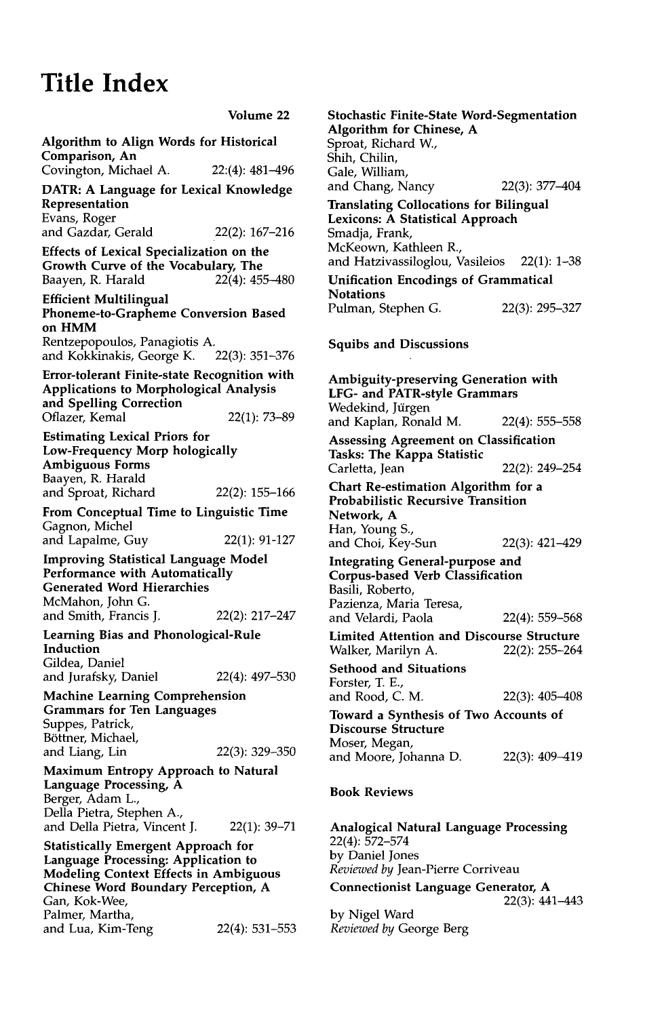## **Title Index**

Volume **22**  Algorithm to Align Words for Historical Comparison, An Covington, Michael A. 22:(4): 481-496 **DATR:** A Language for Lexical Knowledge Representation Evans, Roger and Gazdar, Gerald 22(2): 167-216 Effects of Lexical Specialization on the Growth Curve of the Vocabulary, The Baayen, R. Harald 22(4): 455-480 Efficient Multilingual **Phoneme-to-Grapheme Conversion Based on HMM**  Rentzepopoulos, Panagiotis A. and Kokkinakis, George K. 22(3): 351-376 Error-tolerant Finite-state Recognition with Applications to Morphological Analysis **and** Spelling Correction Oflazer, Kemal 22(1): 73-89 Estimating Lexical Priors for Low-Frequency Morp hologically Ambiguous Forms Baayen, R. Harald and Sproat, Richard 22(2): 155-166 From Conceptual Time to Linguistic Time Gagnon, Michel and Lapalme, Guy 22(1): 91-127 Improving Statistical Language Model Performance with Automatically Generated Word Hierarchies McMahon, John G. and Smith, Francis J. 22(2): 217-247 Learning Bias and Phonological-Rule Induction Gildea, Daniel and Jurafsky, Daniel 22(4): 497-530 Machine Learning Comprehension Grammars for Ten Languages Suppes, Patrick, Böttner, Michael, and Liang, Lin 22(3): 329-350 Maximum Entropy Approach to Natural Language Processing, A Berger, Adam L., Della Pietra, Stephen A., and Della Pietra, Vincent J. 22(1): 39-71 Statistically Emergent Approach for Language Processing: Application to Modeling Context Effects in Ambiguous Chinese Word Boundary Perception, A Gan, Kok-Wee, Palmer, Martha, and Lua, Kim-Teng 22(4): 531-553 **Stochastic Finite-State Word-Segmentation**  Algorithm for Chinese, **A**  Sproat, Richard W., Shih, Chilin, Gale, William, and Chang, Nancy 22(3): 377-404 Translating Collocations for Bilingual Lexicons: A Statistical Approach Smadja, Frank, McKeown, Kathleen R., and Hatzivassiloglou, Vasileios 22(1): 1-38 Unification Encodings of Grammatical **Notations** Pulman, Stephen G. 22(3): 295-327 Squibs and Discussions Ambiguity-preserving Generation with **LFG- and** PATR-style Grammars Wedekind, Jürgen and Kaplan, Ronald M. 22(4): 555-558 Assessing Agreement on Classification Tasks: The Kappa Statistic<br>Carletta, Jean 22(2): 249-254 Chart Re-estimation Algorithm for **a**  Probabilistic Recursive Transition Network, A Han, Young S., and Choi, Key-Sun 22(3): 421-429 Integrating General-purpose **and**  Corpus-based Verb Classification Basili, Roberto, Pazienza, Maria Teresa, and Velardi, Paola 22(4): 559-568 Limited Attention and Discourse Structure Walker, Marilyn A. 22(2): 255-264 Sethood and Situations Forster, T. E., and Rood, C.M. 22(3): 405-408 Toward a Synthesis of Two Accounts of Discourse Structure Moser, Megan, and Moore, Johanna D. 22(3): 409-419 **Book Reviews**  Analogical Natural Language Processing

22(4): 572-574 by Daniel Jones *Reviewed by* Jean-Pierre Corriveau Connectionist Language Generator, **A** 

22(3): 441-443

by Nigel Ward *Reviewed by* George Berg